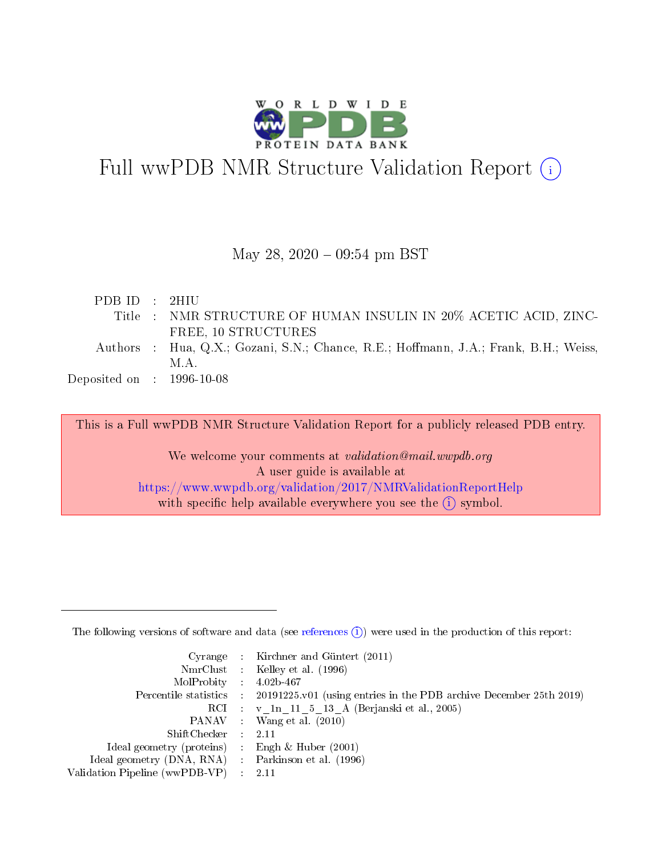

# Full wwPDB NMR Structure Validation Report (i)

#### May 28, 2020 - 09:54 pm BST

| Title : NMR STRUCTURE OF HUMAN INSULIN IN 20% ACETIC ACID, ZINC-                     |
|--------------------------------------------------------------------------------------|
|                                                                                      |
| Authors : Hua, Q.X.; Gozani, S.N.; Chance, R.E.; Hoffmann, J.A.; Frank, B.H.; Weiss, |
|                                                                                      |
|                                                                                      |
|                                                                                      |

This is a Full wwPDB NMR Structure Validation Report for a publicly released PDB entry.

We welcome your comments at *validation@mail.wwpdb.org* A user guide is available at <https://www.wwpdb.org/validation/2017/NMRValidationReportHelp> with specific help available everywhere you see the  $(i)$  symbol.

The following versions of software and data (see [references](https://www.wwpdb.org/validation/2017/NMRValidationReportHelp#references)  $(1)$ ) were used in the production of this report:

|                                                    | Cyrange : Kirchner and Güntert $(2011)$                                                    |
|----------------------------------------------------|--------------------------------------------------------------------------------------------|
|                                                    | NmrClust : Kelley et al. (1996)                                                            |
| $MolProbability$ 4.02b-467                         |                                                                                            |
|                                                    | Percentile statistics : 20191225.v01 (using entries in the PDB archive December 25th 2019) |
|                                                    | RCI : v 1n 11 5 13 A (Berjanski et al., 2005)                                              |
|                                                    | PANAV Wang et al. (2010)                                                                   |
| $ShiftChecker$ : 2.11                              |                                                                                            |
| Ideal geometry (proteins) : Engh $\&$ Huber (2001) |                                                                                            |
| Ideal geometry (DNA, RNA) Parkinson et al. (1996)  |                                                                                            |
| Validation Pipeline (wwPDB-VP)                     | 2.11                                                                                       |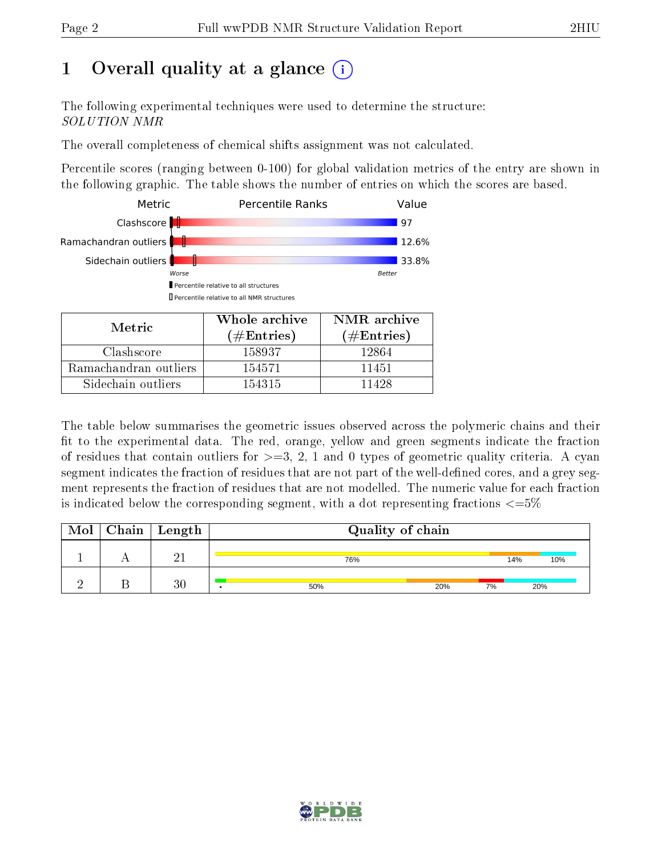## 1 [O](https://www.wwpdb.org/validation/2017/NMRValidationReportHelp#overall_quality)verall quality at a glance  $(i)$

The following experimental techniques were used to determine the structure: SOLUTION NMR

The overall completeness of chemical shifts assignment was not calculated.

Percentile scores (ranging between 0-100) for global validation metrics of the entry are shown in the following graphic. The table shows the number of entries on which the scores are based.



| Metric                | $(\#\text{Entries})$ | (# $\rm{Entries}$ ) |
|-----------------------|----------------------|---------------------|
| Clashscore            | 158937               | 12864               |
| Ramachandran outliers | 154571               | 11451               |
| Sidechain outliers    | 154315               | 11428               |

The table below summarises the geometric issues observed across the polymeric chains and their fit to the experimental data. The red, orange, yellow and green segments indicate the fraction of residues that contain outliers for  $>=3, 2, 1$  and 0 types of geometric quality criteria. A cyan segment indicates the fraction of residues that are not part of the well-defined cores, and a grey segment represents the fraction of residues that are not modelled. The numeric value for each fraction is indicated below the corresponding segment, with a dot representing fractions  $\epsilon = 5\%$ 

| Mol | Chain | Length | Quality of chain |     |     |     |
|-----|-------|--------|------------------|-----|-----|-----|
|     |       | ີ 1    | 76%              |     | 14% | 10% |
|     |       | 30     | 50%              | 20% | 7%  | 20% |

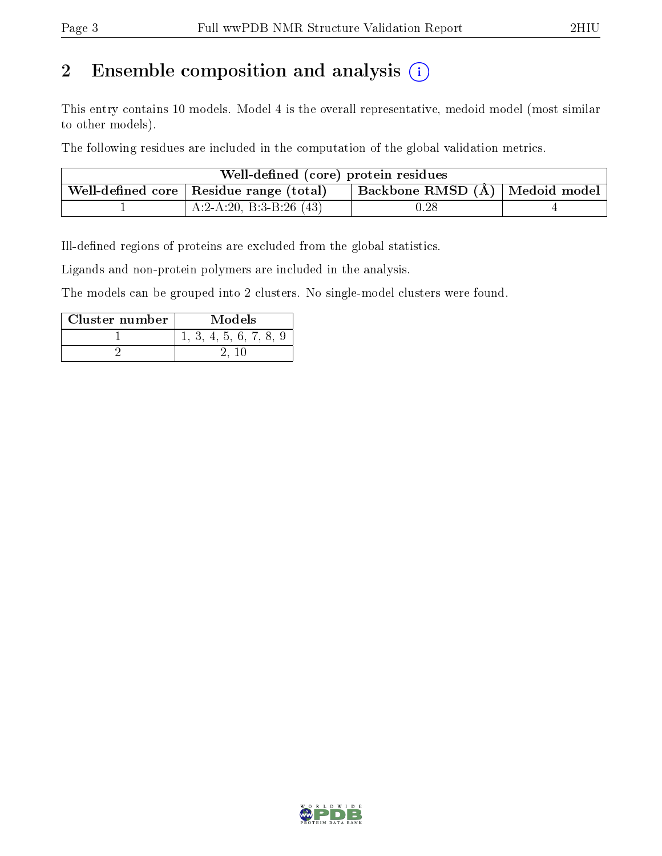### 2 Ensemble composition and analysis  $(i)$

This entry contains 10 models. Model 4 is the overall representative, medoid model (most similar to other models).

The following residues are included in the computation of the global validation metrics.

| Well-defined (core) protein residues |                                           |                                  |  |  |  |
|--------------------------------------|-------------------------------------------|----------------------------------|--|--|--|
|                                      | Well-defined core   Residue range (total) | Backbone RMSD (Å)   Medoid model |  |  |  |
|                                      | A:2-A:20, B:3-B:26 $(43)$                 | $0.28\,$                         |  |  |  |

Ill-defined regions of proteins are excluded from the global statistics.

Ligands and non-protein polymers are included in the analysis.

The models can be grouped into 2 clusters. No single-model clusters were found.

| Cluster number | Models                 |
|----------------|------------------------|
|                | 1, 3, 4, 5, 6, 7, 8, 9 |
|                |                        |

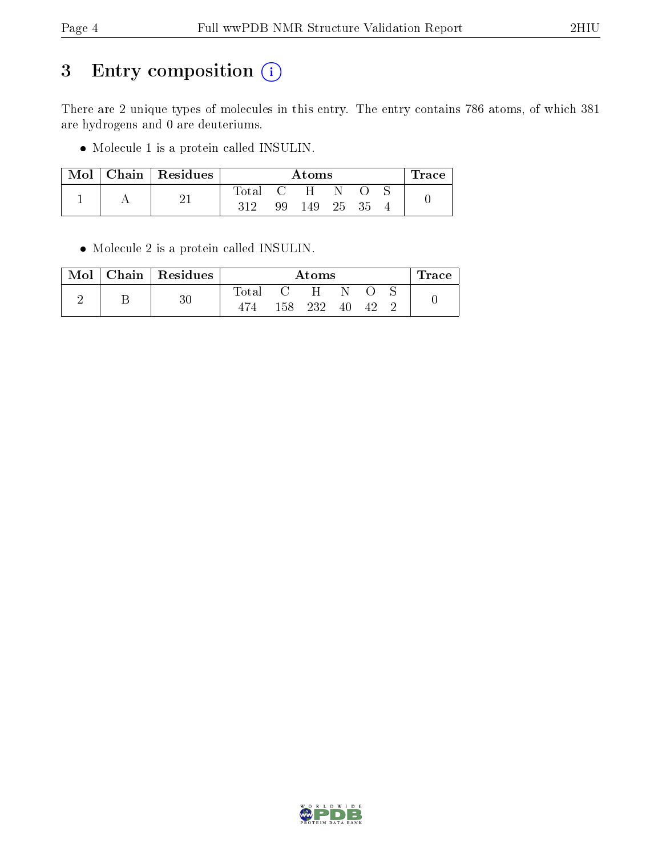### 3 Entry composition (i)

There are 2 unique types of molecules in this entry. The entry contains 786 atoms, of which 381 are hydrogens and 0 are deuteriums.

Molecule 1 is a protein called INSULIN.

|  |  | $Mol$   Chain   Residues | Atoms |           |    |  |  | ${\rm Trace}$ |  |
|--|--|--------------------------|-------|-----------|----|--|--|---------------|--|
|  |  |                          | Total |           | H. |  |  |               |  |
|  |  | 312                      | 99    | 149 25 35 |    |  |  |               |  |

Molecule 2 is a protein called INSULIN.

| Mol | Chain   Residues | Atoms  |     |     |    | Trace |  |
|-----|------------------|--------|-----|-----|----|-------|--|
|     | 211              | l'otal |     | H   |    |       |  |
|     |                  |        | 158 | 232 | 40 |       |  |

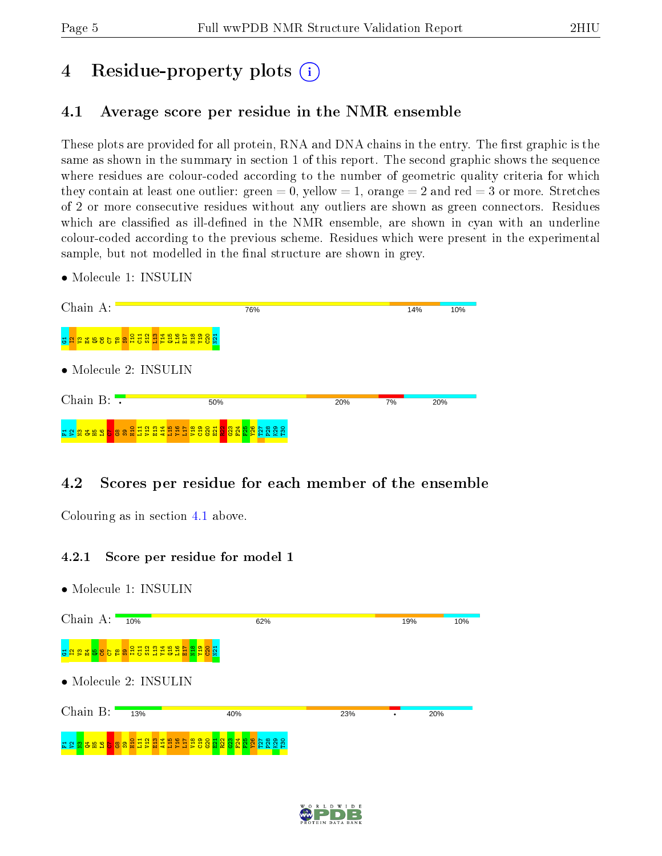## 4 Residue-property plots  $\binom{1}{1}$

#### <span id="page-4-0"></span>4.1 Average score per residue in the NMR ensemble

These plots are provided for all protein, RNA and DNA chains in the entry. The first graphic is the same as shown in the summary in section 1 of this report. The second graphic shows the sequence where residues are colour-coded according to the number of geometric quality criteria for which they contain at least one outlier: green  $= 0$ , yellow  $= 1$ , orange  $= 2$  and red  $= 3$  or more. Stretches of 2 or more consecutive residues without any outliers are shown as green connectors. Residues which are classified as ill-defined in the NMR ensemble, are shown in cyan with an underline colour-coded according to the previous scheme. Residues which were present in the experimental sample, but not modelled in the final structure are shown in grey.

Chain A: 76%  $14%$  $10%$ s <mark>n g ä ä ä ä ä ä ä ä ä ä ä ä ä ä ä ä</mark>  $\frac{1}{2}$ • Molecule 2: INSULIN Chain B:  $50%$  $20%$  $70<sub>0</sub>$  $20%$ F1V2N3Q4H5L6C7 G8 S9 H10 L11 V12 E13 A14 L15 Y16 L17 V18 C19 G20 E21 R22 G23 F24 F25 Y26 T27 P28 K29 T30

#### 4.2 Scores per residue for each member of the ensemble

Colouring as in section [4.1](#page-4-0) above.

#### 4.2.1 Score per residue for model 1



• Molecule 1: INSULIN

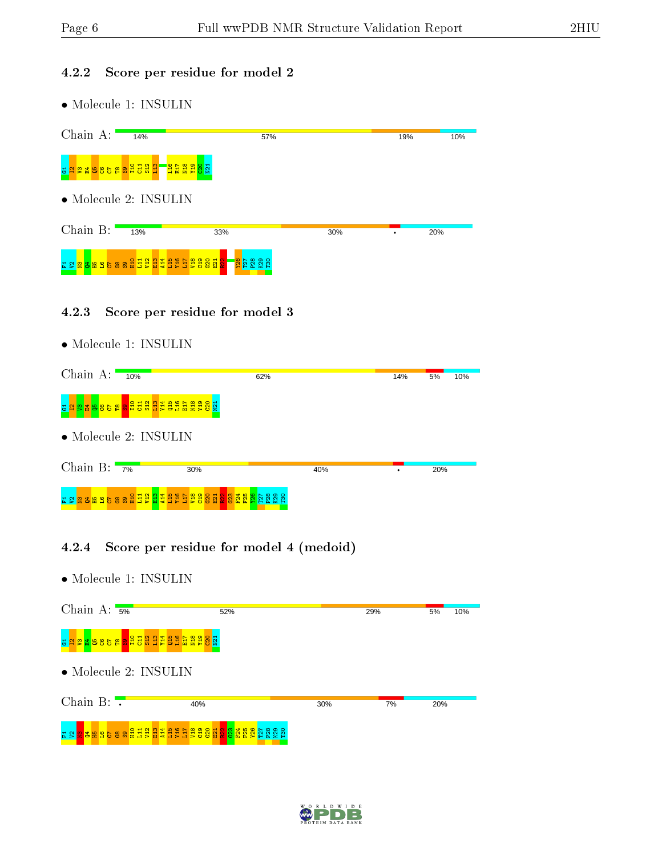#### 4.2.2 Score per residue for model 2

 $\bullet$  Molecule 1: INSULIN

| Chain A:                                          | 14% | 57%                                                                                                               |     | 19% | 10% |
|---------------------------------------------------|-----|-------------------------------------------------------------------------------------------------------------------|-----|-----|-----|
| $\frac{1}{2}$ ន្ត្រីន្ត្រីន្ត្រីន្ត្រីន្ទ្រី<br>릉 |     | - <mark>음료율율용</mark> 률                                                                                            |     |     |     |
| $\bullet$ Molecule 2: INSULIN                     |     |                                                                                                                   |     |     |     |
| Chain B:                                          | 13% | 33%                                                                                                               | 30% |     | 20% |
|                                                   |     | <b>26</b><br>ន្ត្រីខ្លួន<br><u>ដន្ត<mark>ន</mark>្នីមាន</u> ខ្ទួនន <u>្ទីដ្ឋ</u> ដូងដូងដូងដូននី <mark>ន្ទី</mark> |     |     |     |

#### 4.2.3 Score per residue for model 3

• Molecule 1: INSULIN

| Chain A:                 | 10%                                                                                                   |     | 62% |     | 14% | 5%  | 10% |
|--------------------------|-------------------------------------------------------------------------------------------------------|-----|-----|-----|-----|-----|-----|
|                          | <mark>ទ</mark> <mark>ង ន ន ទ ទ ទ ទ ទ ទ ទ</mark> <mark>ទ </mark> អ្ន អ្ន អ្ន អ្ន អ្ន អ្ន អ្ន ទ ទ ទ ទ   |     |     |     |     |     |     |
|                          | $\bullet$ Molecule 2: INSULIN                                                                         |     |     |     |     |     |     |
| Chain B: $\frac{1}{7\%}$ |                                                                                                       | 30% |     | 40% |     | 20% |     |
|                          | <u>ដ ទ <mark>ទ ទ ម ទ ទ ទ ទ ទ អ្ន អ្ន អ្ន អ្ន</mark> អ្ន អ្ន អ្ន ទ ទ ទ ទ ទ ទ ទ ទ ទ ទ ទ ទ</u> ទ ទ ទ ទ ទ |     |     |     |     |     |     |

#### 4.2.4 Score per residue for model 4 (medoid)

| Chain A: $\frac{1}{5\%}$                                                                           | 52%           | 29% |    | 5%  | 10% |
|----------------------------------------------------------------------------------------------------|---------------|-----|----|-----|-----|
| <mark>៵</mark> <mark>ងនាឌី ឌី ខ ខ ឌ <mark>ន</mark> ដូ ដូ ដូ ដូ ដូ ដូ ដូ ដូ ដូ ដូ ដូ ដូ ន</mark>    |               |     |    |     |     |
| $\bullet$ Molecule 2: INSULIN                                                                      |               |     |    |     |     |
| Chain $B: \mathbb{R}$                                                                              | 40%           | 30% | 7% | 20% |     |
| <mark>ទ</mark> <mark>ឌ ឌ ឌ ទ ទ ន ដ ដ ដ ដ ដ ដ</mark> ដ ដ ដ ដ ដ ន ទ ន ដ <mark>ន ទ ទ ន ដ</mark><br>분의 | <u>តន ន ន</u> |     |    |     |     |

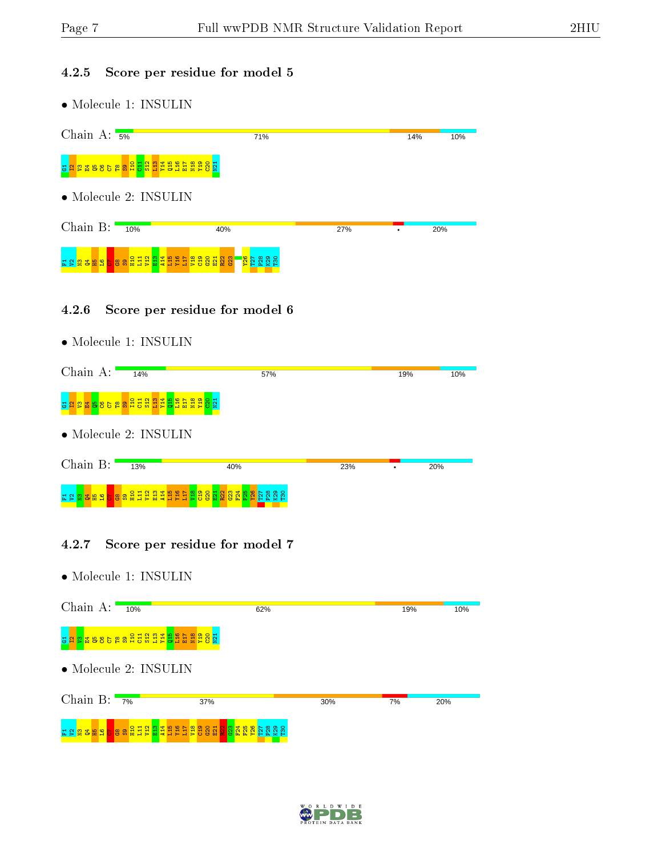#### 4.2.5 Score per residue for model 5

• Molecule 1: INSULIN

| Chain A: $\frac{1}{5\%}$                                            | 71%                                                  |     | 14% | 10% |
|---------------------------------------------------------------------|------------------------------------------------------|-----|-----|-----|
| <b>g a s s s s a a d d d d d d d d d d d d</b> a a s s s<br>릃       |                                                      |     |     |     |
| $\bullet$ Molecule 2: INSULIN                                       |                                                      |     |     |     |
| Chain $B:$<br>10%                                                   | 40%                                                  | 27% | ٠   | 20% |
| <mark>ដ្ឋិដ្ឋិដ្ឋ</mark> ិដ្ឋិដ្ឋិ<br><b>P</b><br>E 2 2 3 3 8 9 5 8 | <mark>ន្ត្</mark> រី ក្តី ក្តី ក្តី ក្តី<br>ខ្លួននួន |     |     |     |

#### 4.2.6 Score per residue for model 6

• Molecule 1: INSULIN

| Chain A: | 14%                                            | 57% |     | 19% | 10% |
|----------|------------------------------------------------|-----|-----|-----|-----|
|          | <u>ង្គួន ងូនទទួន ដូច្នូដូច្នូ ដូច្នូ ដូច្ន</u> |     |     |     |     |
|          | $\bullet$ Molecule 2: INSULIN                  |     |     |     |     |
| Chain B: | 13%                                            | 40% | 23% |     | 20% |
|          |                                                |     |     |     |     |

#### 4.2.7 Score per residue for model 7

| Chain A:                 | 10%                                                                                                                                              |     | 62% |     | 19% | 10% |
|--------------------------|--------------------------------------------------------------------------------------------------------------------------------------------------|-----|-----|-----|-----|-----|
|                          | <u>ង<mark>ងន</mark>្នន ខេនខន្ទ ខេន ដូ</u> វីដូវីដូ <mark>មី</mark> ដូដីនីដូខីខ្ល                                                                 |     |     |     |     |     |
|                          | $\bullet$ Molecule 2: INSULIN                                                                                                                    |     |     |     |     |     |
| Chain B: $\frac{1}{7\%}$ |                                                                                                                                                  | 37% |     | 30% | 7%  | 20% |
|                          | <u>ដាន់ តិ ទាំមាន <mark>ខា</mark>ទាន់ មិន និដ្ឋ អ្នក ដូច្នេះ អ្នក ដូច</u> ្ច ខ្លី មិន ប្តី <mark>អ្នក ដូច្</mark> ស្តី  នី  ប្តី  ប្តី  ប្តី  ប្ |     |     |     |     |     |

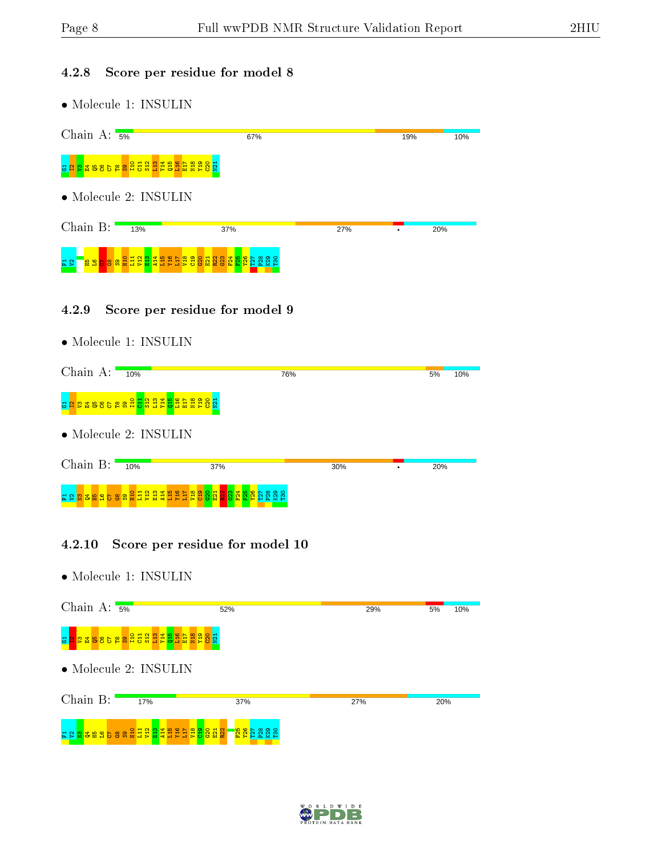#### 4.2.8 Score per residue for model 8

• Molecule 1: INSULIN

| Chain A: $\frac{1}{5\%}$                                                              | 67%               |     | 19% | 10% |
|---------------------------------------------------------------------------------------|-------------------|-----|-----|-----|
| 885888888888888<br>룜                                                                  |                   |     |     |     |
| $\bullet$ Molecule 2: INSULIN                                                         |                   |     |     |     |
| Chain $B:$<br>13%                                                                     | 37%               | 27% |     | 20% |
| <b>belang sa sa sa sa</b><br>검 운<br>단<br><mark>집</mark> 않<br>$\frac{9}{5}$<br>Ĕ<br>문의 | 888<br><u>ig.</u> |     |     |     |

#### 4.2.9 Score per residue for model 9

• Molecule 1: INSULIN

| Chain A:   | 10%                                 |     | 76% | 5%  | 10% |
|------------|-------------------------------------|-----|-----|-----|-----|
| g<br>륽     | <u>ងខេទទទួនដូមីដូដូដូមីដូនីដូនី</u> |     |     |     |     |
|            | $\bullet$ Molecule 2: INSULIN       |     |     |     |     |
| Chain $B:$ | 10%                                 | 37% | 30% | 20% |     |
|            |                                     |     |     |     |     |

#### 4.2.10 Score per residue for model 10



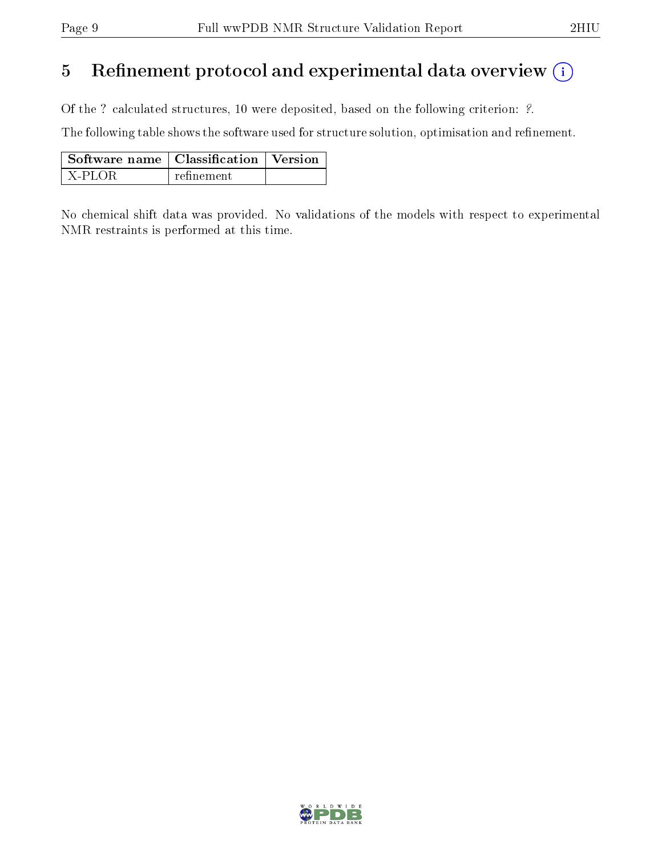### 5 Refinement protocol and experimental data overview  $\binom{1}{k}$

Of the ? calculated structures, 10 were deposited, based on the following criterion: ?.

The following table shows the software used for structure solution, optimisation and refinement.

| $\mid$ Software name $\mid$ Classification $\mid$ Version |            |  |  |
|-----------------------------------------------------------|------------|--|--|
| I X-PLOR                                                  | refinement |  |  |

No chemical shift data was provided. No validations of the models with respect to experimental NMR restraints is performed at this time.

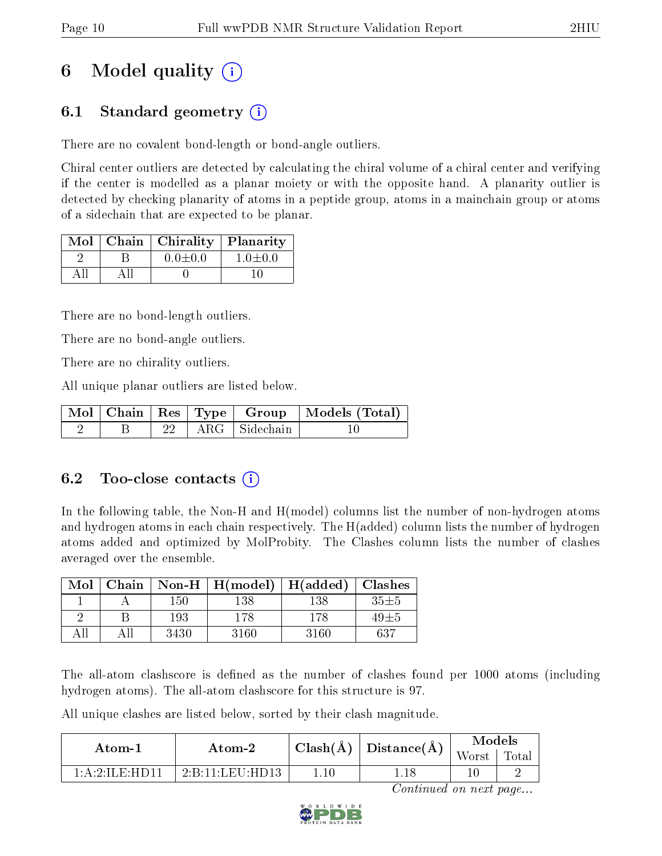## 6 Model quality  $(i)$

### 6.1 Standard geometry  $(i)$

There are no covalent bond-length or bond-angle outliers.

Chiral center outliers are detected by calculating the chiral volume of a chiral center and verifying if the center is modelled as a planar moiety or with the opposite hand. A planarity outlier is detected by checking planarity of atoms in a peptide group, atoms in a mainchain group or atoms of a sidechain that are expected to be planar.

|  | $Mol$   Chain   Chirality | $\sqrt{\frac{1}{2}}$ Planarity |
|--|---------------------------|--------------------------------|
|  | $0.0 \pm 0.0$             | $1.0 \pm 0.0$                  |
|  |                           |                                |

There are no bond-length outliers.

There are no bond-angle outliers.

There are no chirality outliers.

All unique planar outliers are listed below.

|  |  |                      | Mol   Chain   Res   Type   Group   Models (Total) |
|--|--|----------------------|---------------------------------------------------|
|  |  | 22   ARG   Sidechain |                                                   |

#### 6.2 Too-close contacts (i)

In the following table, the Non-H and H(model) columns list the number of non-hydrogen atoms and hydrogen atoms in each chain respectively. The H(added) column lists the number of hydrogen atoms added and optimized by MolProbity. The Clashes column lists the number of clashes averaged over the ensemble.

| Mol | Chain |      | Non-H $\mid$ H(model) | H(added) | <b>Clashes</b> |
|-----|-------|------|-----------------------|----------|----------------|
|     |       | 150  | 138                   | 138      | $35 + 5$       |
|     |       | 193  | 178                   | 178      | 49±5           |
|     |       | 3430 | 3160                  | 3160     | 637            |

The all-atom clashscore is defined as the number of clashes found per 1000 atoms (including hydrogen atoms). The all-atom clashscore for this structure is 97.

All unique clashes are listed below, sorted by their clash magnitude.

| Atom-1                                   | Atom-2                                                         | $\text{Classn}(\AA)$ | $\vert$ Distance( $\AA$ ) | Models |       |  |
|------------------------------------------|----------------------------------------------------------------|----------------------|---------------------------|--------|-------|--|
|                                          |                                                                |                      |                           | Worst  | Total |  |
| $1 \cdot A \cdot 2 \cdot H \to H \to 11$ | $2 \cdot B \cdot 11 \cdot I \cdot F \cdot U \cdot HD \cdot 13$ | .10                  | 1.18                      |        |       |  |

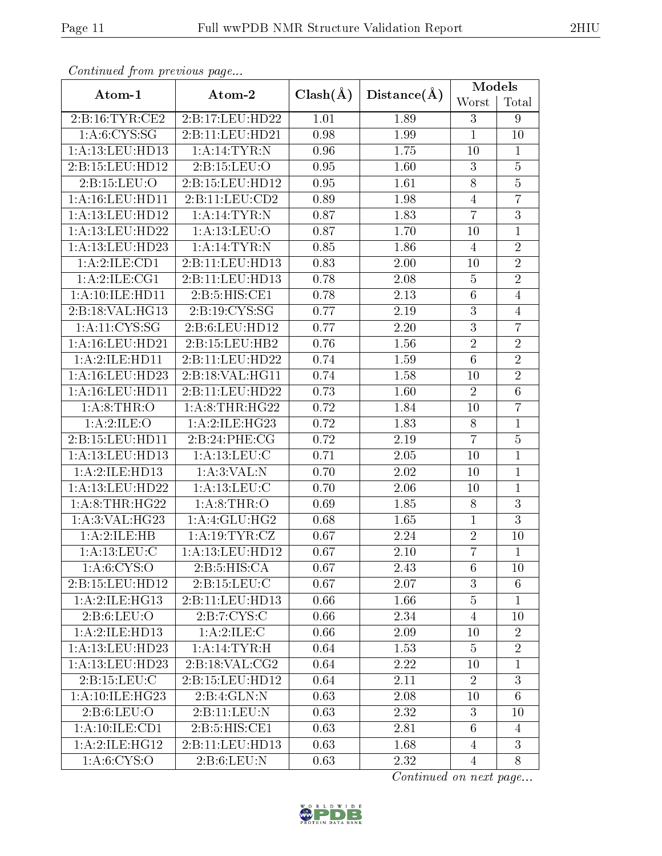| continuou pront protio de pago |                       |              |             | Models           |                 |  |
|--------------------------------|-----------------------|--------------|-------------|------------------|-----------------|--|
| Atom-1                         | Atom-2                | $Clash(\AA)$ | Distance(A) | Worst            | Total           |  |
| 2: B: 16: TYR: CE2             | 2:B:17:LEU:HD22       | 1.01         | 1.89        | 3                | 9               |  |
| 1: A: 6: CYS: SG               | 2:B:11:LEU:HD21       | 0.98         | 1.99        | $\mathbf{1}$     | 10              |  |
| 1:A:13:LEU:HD13                | 1:A:14:TYR:N          | 0.96         | 1.75        | 10               | $\mathbf{1}$    |  |
| 2:B:15:LEU:HD12                | 2:B:15:LEU:O          | 0.95         | 1.60        | $\boldsymbol{3}$ | $\overline{5}$  |  |
| 2:B:15:LEU:O                   | 2:B:15:LEU:HD12       | 0.95         | 1.61        | 8                | $\bf 5$         |  |
| 1: A: 16: LEU: HD11            | 2:B:11:EU:CD2         | 0.89         | 1.98        | $\overline{4}$   | $\overline{7}$  |  |
| 1:A:13:LEU:HD12                | 1:A:14:TYR:N          | 0.87         | 1.83        | $\overline{7}$   | $\overline{3}$  |  |
| 1:A:13:LEU:HD22                | 1: A: 13: LEU: O      | 0.87         | 1.70        | 10               | $\mathbf{1}$    |  |
| 1:A:13:LEU:HD23                | 1:A:14:TYR:N          | 0.85         | 1.86        | $\overline{4}$   | $\overline{2}$  |  |
| 1:A:2:ILE:CD1                  | 2:B:11:LEU:HD13       | 0.83         | 2.00        | 10               | $\overline{2}$  |  |
| 1: A:2: ILE: CG1               | 2:B:11:LEU:HD13       | 0.78         | 2.08        | $\overline{5}$   | $\overline{2}$  |  |
| 1:A:10:ILE:HD11                | 2:B:5:HIS:CE1         | 0.78         | 2.13        | $\sqrt{6}$       | $\overline{4}$  |  |
| 2:B:18:VAL:HG13                | 2:B:19:CYS:SG         | 0.77         | 2.19        | $\overline{3}$   | $\overline{4}$  |  |
| 1: A: 11: CYS: SG              | 2:B:6:LEU:HD12        | 0.77         | 2.20        | $\mathfrak{Z}$   | $\overline{7}$  |  |
| 1:A:16:LEU:HD21                | 2: B: 15: LEU: HB2    | 0.76         | 1.56        | $\sqrt{2}$       | $\overline{2}$  |  |
| 1:A:2:ILE:HD11                 | 2:B:11:LEU:HD22       | 0.74         | 1.59        | $\overline{6}$   | $\overline{2}$  |  |
| 1:A:16:LEU:HD23                | 2:Bi:18:VAL:HG11      | 0.74         | 1.58        | 10               | $\overline{2}$  |  |
| 1: A: 16: LEU: HD11            | 2:B:11:LEU:HD22       | 0.73         | 1.60        | $\overline{2}$   | $\overline{6}$  |  |
| 1: A:8:THR:O                   | 1: A:8:THR:HG22       | 0.72         | 1.84        | 10               | $\overline{7}$  |  |
| 1:A:2:ILE:O                    | 1:A:2:ILE:HG23        | 0.72         | 1.83        | 8                | $\mathbf{1}$    |  |
| 2:B:15:LEU:HD11                | 2:B:24:PHE:CG         | 0.72         | 2.19        | $\overline{7}$   | $\bf 5$         |  |
| 1:A:13:LEU:HD13                | 1: A:13: LEU: C       | 0.71         | 2.05        | 10               | $\overline{1}$  |  |
| 1:A:2:ILE:HDI3                 | 1: A:3: VAL: N        | 0.70         | 2.02        | 10               | $\mathbf{1}$    |  |
| 1: A:13: LEU: HD22             | 1: A: 13: LEU: C      | 0.70         | 2.06        | 10               | $\overline{1}$  |  |
| 1: A:8:THR:HG22                | 1: A:8:THR:O          | 0.69         | 1.85        | 8                | 3               |  |
| 1: A:3: VAL:HG23               | 1:A:4:GLU:HG2         | 0.68         | 1.65        | $\mathbf{1}$     | $\overline{3}$  |  |
| 1:A:2:ILE:HB                   | 1: A: 19: TYR: CZ     | 0.67         | 2.24        | $\overline{2}$   | 10              |  |
| 1: A:13: LEU: C                | 1: A:13: LEU: HD12    | 0.67         | 2.10        | $\overline{7}$   | $\mathbf{1}$    |  |
| 1: A:6: CYS:O                  | 2: B:5: HIS: CA       | 0.67         | 2.43        | 6                | 10              |  |
| 2:B:15:LEU:HD12                | 2:B:15:LEU:C          | 0.67         | 2.07        | 3                | 6               |  |
| 1: A:2: ILE: HG13              | 2:B:11:LEU:HD13       | 0.66         | 1.66        | $\overline{5}$   | $\mathbf{1}$    |  |
| 2: B:6: LEU:O                  | 2:B:7:CYS:C           | 0.66         | 2.34        | $\overline{4}$   | 10              |  |
| 1:A:2:ILE:HD13                 | 1:A:2:ILE:C           | 0.66         | 2.09        | 10               | $\overline{2}$  |  |
| 1:A:13:LEU:HD23                | $1: A:14:TYR \cdot H$ | 0.64         | 1.53        | 5                | $\overline{2}$  |  |
| 1:A:13:LEU:HD23                | 2: B: 18: VAL: CG2    | 0.64         | 2.22        | 10               | $\mathbf{1}$    |  |
| 2:B:15:LEU:C                   | 2:B:15:LEU:HD12       | 0.64         | 2.11        | $\overline{2}$   | 3               |  |
| 1:A:10:IE:HG23                 | 2:B:4:GLN:N           | 0.63         | 2.08        | 10               | $6\phantom{.}6$ |  |
| 2: B:6: LEU:O                  | 2:B:11:LEU:N          | 0.63         | 2.32        | 3                | 10              |  |
| 1:A:10:ILE:CD1                 | 2:B:5:HIS:CE1         | 0.63         | 2.81        | $6\phantom{.}6$  | $\overline{4}$  |  |
| 1:A:2:ILE:HG12                 | 2:B:11:LEU:HD13       | 0.63         | 1.68        | $\overline{4}$   | 3               |  |
| 1: A:6: CYS:O                  | 2: B:6: LEU: N        | 0.63         | 2.32        | 4                | 8               |  |

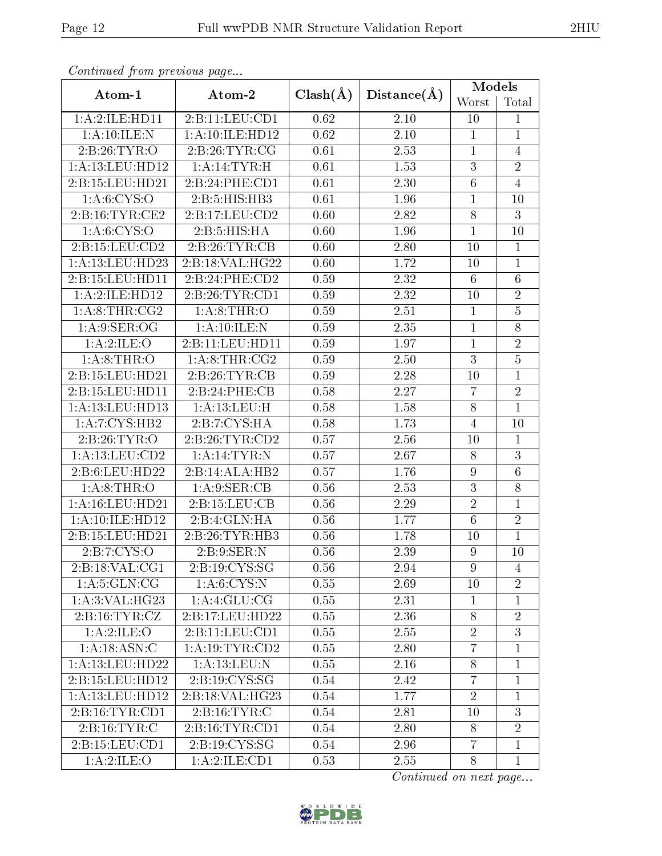| received the first corporation for the property of the corporation of the corporation of the corporation of the |                     |              |             | Models          |                 |  |
|-----------------------------------------------------------------------------------------------------------------|---------------------|--------------|-------------|-----------------|-----------------|--|
| Atom-1                                                                                                          | Atom-2              | $Clash(\AA)$ | Distance(A) | Worst           | Total           |  |
| 1:A:2:ILE:HD11                                                                                                  | 2:B:11:LEV:CD1      | 0.62         | 2.10        | 10              | $\mathbf{1}$    |  |
| 1: A:10: ILE:N                                                                                                  | 1: A: 10: ILE: HD12 | 0.62         | 2.10        | $\mathbf{1}$    | $\mathbf{1}$    |  |
| 2: B:26: TYR:O                                                                                                  | 2:B:26:TYR:CG       | 0.61         | 2.53        | $\mathbf{1}$    | $\overline{4}$  |  |
| 1:A:13:LEU:HD12                                                                                                 | 1: A:14:TYR:H       | 0.61         | 1.53        | $\mathfrak{Z}$  | $\overline{2}$  |  |
| 2:B:15:LEU:HD21                                                                                                 | 2: B:24:PHE:CD1     | 0.61         | 2.30        | $\sqrt{6}$      | $\overline{4}$  |  |
| 1: A:6:CYS:O                                                                                                    | 2:B:5:HIS:HB3       | 0.61         | 1.96        | $\mathbf{1}$    | 10              |  |
| 2:B:16:TYR:CE2                                                                                                  | 2:B:17:LEU:CD2      | 0.60         | 2.82        | 8               | 3               |  |
| 1: A:6: CYS:O                                                                                                   | 2:B:5:HIS:HA        | 0.60         | 1.96        | $\mathbf{1}$    | 10              |  |
| 2:B:15:LEU:CD2                                                                                                  | 2:B:26:TYR:CB       | 0.60         | 2.80        | 10              | $\mathbf{1}$    |  |
| 1:A:13:LEU:HD23                                                                                                 | 2:B:18:VAL:HG22     | 0.60         | 1.72        | 10              | $\mathbf{1}$    |  |
| 2:B:15:LEU:HD11                                                                                                 | 2:B:24:PHE:CD2      | 0.59         | 2.32        | $6\phantom{.}6$ | $6\phantom{.}6$ |  |
| 1:A:2:ILE:HD12                                                                                                  | 2:B:26:TYR:CD1      | 0.59         | 2.32        | 10              | $\overline{2}$  |  |
| 1: A:8:THR:CG2                                                                                                  | 1: A:8:THR:O        | 0.59         | 2.51        | $\mathbf{1}$    | $\overline{5}$  |  |
| 1: A.9: SER:OG                                                                                                  | 1:A:10:ILE:N        | 0.59         | 2.35        | $\mathbf{1}$    | 8               |  |
| 1:A:2:ILE:O                                                                                                     | 2:B:11:LEU:HD11     | 0.59         | 1.97        | $\mathbf{1}$    | $\overline{2}$  |  |
| 1: A:8:THR:O                                                                                                    | 1: A:8:THR:CG2      | 0.59         | 2.50        | $\overline{3}$  | $\overline{5}$  |  |
| 2:B:15:LEU:HD21                                                                                                 | 2:B:26:TYR:CB       | 0.59         | 2.28        | 10              | $\mathbf{1}$    |  |
| 2:B:15:LEU:HD11                                                                                                 | 2:B:24:PHE:CB       | 0.58         | 2.27        | $\overline{7}$  | $\overline{2}$  |  |
| 1:A:13:LEU:HD13                                                                                                 | 1:A:13:LEU:H        | 0.58         | 1.58        | 8               | $\mathbf{1}$    |  |
| 1:A:7:CYS:HB2                                                                                                   | 2:B:7:CYS:HA        | 0.58         | 1.73        | $\overline{4}$  | 10              |  |
| 2: B:26: TYR:O                                                                                                  | 2:B:26:TYR:CD2      | 0.57         | 2.56        | 10              | $\mathbf{1}$    |  |
| 1: A: 13: LEU: CD2                                                                                              | 1: A:14:TYR:N       | 0.57         | 2.67        | 8               | 3               |  |
| 2:B:6:LEU:HD22                                                                                                  | 2:B:14:ALA:HB2      | 0.57         | 1.76        | 9               | $6\phantom{.}6$ |  |
| 1: A:8:THR:O                                                                                                    | 1: A:9: SER:CB      | 0.56         | 2.53        | 3               | 8               |  |
| 1:A:16:LEU:HD21                                                                                                 | 2:B:15:LEU:CB       | 0.56         | 2.29        | $\sqrt{2}$      | $\mathbf{1}$    |  |
| 1:A:10:ILE:HD12                                                                                                 | 2:B:4:GLN:HA        | 0.56         | 1.77        | 6               | $\overline{2}$  |  |
| 2:B:15:LEU:HD21                                                                                                 | 2:B:26:TYR:HB3      | 0.56         | 1.78        | 10              | $\mathbf{1}$    |  |
| 2:BT:CYS:O                                                                                                      | 2:B:9:SER:N         | 0.56         | 2.39        | 9               | 10              |  |
| 2:B:18:VAL:CG1                                                                                                  | 2: B: 19: CYS: SG   | 0.56         | 2.94        | 9               | 4               |  |
| 1: A:5: GLN: CG                                                                                                 | 1: A:6: CYS:N       | 0.55         | 2.69        | 10              | $\overline{2}$  |  |
| 1: A:3: VAL:HG23                                                                                                | 1: A: 4: GLU: CG    | 0.55         | 2.31        | $\mathbf{1}$    | 1               |  |
| 2: B: 16: TYR: CZ                                                                                               | 2:B:17:LEU:HD22     | 0.55         | 2.36        | 8               | $\overline{2}$  |  |
| 1:A:2:ILE:O                                                                                                     | 2:B:11:LEU:CD1      | 0.55         | 2.55        | $\overline{2}$  | $\overline{3}$  |  |
| 1:A:18:ASN:C                                                                                                    | 1: A:19:TYR:CD2     | 0.55         | 2.80        | $\overline{7}$  | $\mathbf{1}$    |  |
| 1:A:13:LEU:HD22                                                                                                 | 1:A:13:LEU:N        | $0.55\,$     | 2.16        | 8               | $\mathbf{1}$    |  |
| 2:B:15:LEU:HD12                                                                                                 | 2:B:19:CYS:SG       | 0.54         | 2.42        | $\overline{7}$  | $\mathbf{1}$    |  |
| 1:A:13:LEU:HD12                                                                                                 | 2:B:18:VAL:HG23     | 0.54         | 1.77        | $\overline{2}$  | $\mathbf{1}$    |  |
| 2:B:16:TYR:CD1                                                                                                  | 2: B: 16: TYR: C    | 0.54         | 2.81        | 10              | 3               |  |
| 2: B:16: TYR: C                                                                                                 | 2: B: 16: TYR: CD1  | 0.54         | 2.80        | 8               | $\overline{2}$  |  |
| 2:B:15:LEU:CD1                                                                                                  | 2:B:19:CYS:SG       | 0.54         | 2.96        | $\overline{7}$  | $\mathbf{1}$    |  |
| 1:A:2:ILE:O                                                                                                     | 1: A:2: ILE: CD1    | 0.53         | 2.55        | 8               | $\mathbf{1}$    |  |

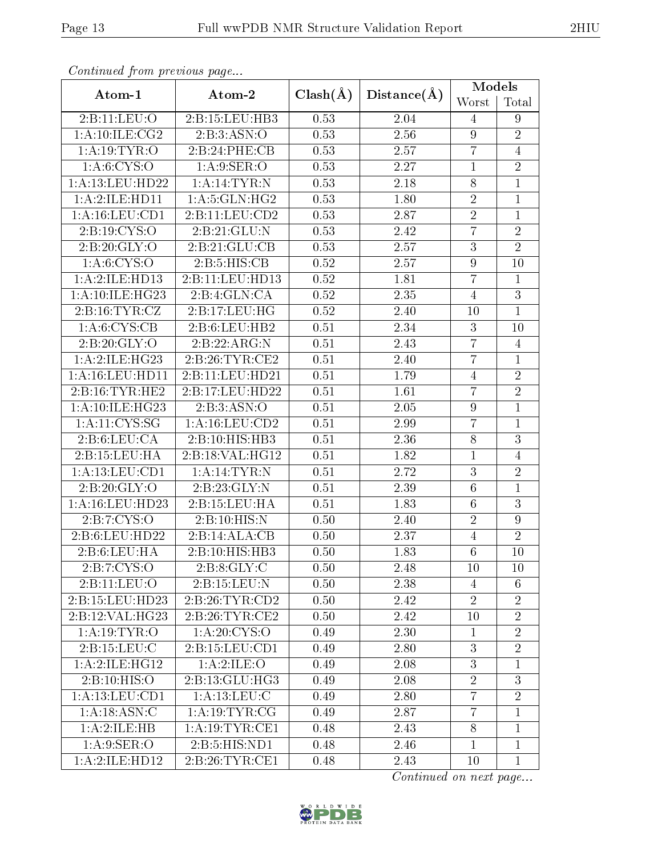| Continued from previous page |                    |              |                   | Models           |                |
|------------------------------|--------------------|--------------|-------------------|------------------|----------------|
| Atom-1                       | Atom-2             | $Clash(\AA)$ | Distance(A)       | Worst            | Total          |
| 2:B:11:LEU:O                 | 2:B:15:LEU:HB3     | 0.53         | 2.04              | 4                | 9              |
| 1: A:10: ILE: CG2            | 2:B:3:ASN:O        | 0.53         | 2.56              | 9                | $\overline{2}$ |
| 1: A:19: TYR:O               | 2:B:24:PHE:CB      | 0.53         | 2.57              | $\overline{7}$   | $\overline{4}$ |
| 1: A:6:CYS:O                 | 1: A:9: SER:O      | 0.53         | 2.27              | $\mathbf{1}$     | $\overline{2}$ |
| 1:A:13:LEU:HD22              | 1: A:14:TYR:N      | 0.53         | 2.18              | $8\,$            | $\mathbf{1}$   |
| 1:A:2:ILE:HD11               | 1: A:5: GLN: HG2   | 0.53         | 1.80              | $\sqrt{2}$       | $\mathbf{1}$   |
| 1:A:16:LEU:CD1               | 2:B:11:LEU:CD2     | 0.53         | 2.87              | $\overline{2}$   | $\overline{1}$ |
| 2: B: 19: CYS:O              | 2:B:21:GLU:N       | 0.53         | 2.42              | $\overline{7}$   | $\overline{2}$ |
| 2:B:20:GLY:O                 | 2:B:21:GLU:CB      | 0.53         | 2.57              | $\overline{3}$   | $\overline{2}$ |
| 1: A:6:CYS:O                 | 2:B:5:HIS:CB       | 0.52         | 2.57              | $\boldsymbol{9}$ | 10             |
| 1:A:2:ILE:HDI3               | 2:B:11:LEU:HD13    | 0.52         | 1.81              | $\overline{7}$   | $\mathbf{1}$   |
| 1:A:10:ILE:HG23              | 2:B:4:GLN:CA       | 0.52         | 2.35              | $\overline{4}$   | 3              |
| 2:B:16:TYR:CZ                | 2:B:17:LEU:HG      | 0.52         | 2.40              | 10               | $\overline{1}$ |
| 1: A:6: CYS:CB               | 2: B:6: LEU: HB2   | 0.51         | 2.34              | 3                | 10             |
| 2:B:20:GLY:O                 | 2:B:22:ARG:N       | 0.51         | 2.43              | $\overline{7}$   | $\overline{4}$ |
| 1: A:2: ILE: HG23            | 2:B:26:TYR:CE2     | 0.51         | 2.40              | $\overline{7}$   | $\mathbf{1}$   |
| 1: A: 16: LEU: HD11          | 2:B:11:LEU:HD21    | 0.51         | 1.79              | $\overline{4}$   | $\sqrt{2}$     |
| 2: B: 16: TYR: HE2           | 2:B:17:LEU:HD22    | 0.51         | $\overline{1.61}$ | $\overline{7}$   | $\overline{2}$ |
| 1:A:10:ILE:HG23              | 2:B:3:ASN:O        | 0.51         | 2.05              | 9                | $\mathbf{1}$   |
| 1: A: 11: CYS: SG            | 1: A: 16: LEU: CD2 | 0.51         | 2.99              | $\overline{7}$   | $\mathbf{1}$   |
| 2: B:6: LEU: CA              | 2:B:10:HIS:HB3     | 0.51         | 2.36              | $8\,$            | $\overline{3}$ |
| 2:B:15:LEU:HA                | 2:B:18:VAL:HG12    | 0.51         | 1.82              | $\mathbf{1}$     | $\overline{4}$ |
| 1:A:13:LEU:CD1               | 1: A:14:TYR:N      | 0.51         | 2.72              | $\mathbf{3}$     | $\overline{2}$ |
| 2:B:20:GLY:O                 | 2:B:23:GLY:N       | 0.51         | 2.39              | $\sqrt{6}$       | $\mathbf{1}$   |
| 1: A: 16: LEU: HD23          | 2:B:15:LEU:HA      | 0.51         | 1.83              | $6\phantom{.}6$  | 3              |
| 2: B: 7: CYS: O              | 2:B:10:HIS:N       | 0.50         | 2.40              | $\overline{2}$   | $\overline{9}$ |
| 2:B:6:LEU:HD22               | 2:B:14:ALA:CB      | 0.50         | 2.37              | $\overline{4}$   | $\overline{2}$ |
| 2: B:6: LEU: HA              | 2:B:10:HIS:HB3     | 0.50         | 1.83              | $\overline{6}$   | 10             |
| 2:B:7:CYS:O                  | 2: B: 8: GLY: C    | 0.50         | 2.48              | 10               | 10             |
| 2:B:11:LEU:O                 | 2:B:15:LEU:N       | 0.50         | 2.38              | 4                | 6              |
| 2:B:15:LEU:HD23              | 2:B:26:TYR:CD2     | 0.50         | 2.42              | $\overline{2}$   | $\overline{2}$ |
| 2:B:12:VAL:HG23              | 2:B:26:TYR:CE2     | 0.50         | 2.42              | 10               | $\overline{2}$ |
| 1: A: 19: TYR: O             | 1: A:20: CYS:O     | 0.49         | 2.30              | $\mathbf{1}$     | $\overline{2}$ |
| 2: B: 15: LEU: C             | 2:B:15:LEU:CD1     | 0.49         | 2.80              | 3                | $\overline{2}$ |
| 1: A:2: ILE: HG12            | 1: A:2: ILE: O     | 0.49         | 2.08              | $\overline{3}$   | $\mathbf{1}$   |
| 2:B:10:HIS:O                 | 2:B:13:GLU:HG3     | 0.49         | 2.08              | $\overline{2}$   | 3              |
| 1:A:13:LEU:CD1               | 1: A: 13: LEU: C   | 0.49         | 2.80              | $\overline{7}$   | $\overline{2}$ |
| 1:A:18:ASN:C                 | 1: A:19:TYR:CG     | 0.49         | 2.87              | $\overline{7}$   | $\mathbf{1}$   |
| 1:A:2:ILE:HB                 | 1: A: 19: TYR: CE1 | 0.48         | 2.43              | 8                | $\mathbf{1}$   |
| 1: A:9: SER:O                | 2: B:5: HIS: ND1   | 0.48         | 2.46              | $\mathbf{1}$     | $\mathbf{1}$   |
| 1:A:2:ILE:HD12               | 2:B:26:TYR:CE1     | 0.48         | 2.43              | 10               | $\mathbf{1}$   |

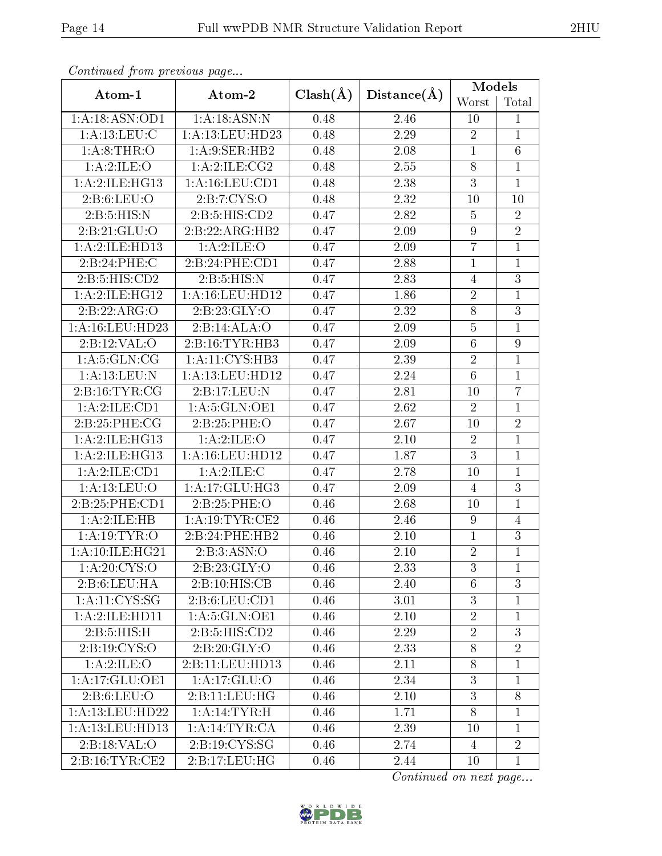| onderda ou j'e ne procédé de payo |                     |              |             | Models          |                 |
|-----------------------------------|---------------------|--------------|-------------|-----------------|-----------------|
| Atom-1                            | Atom-2              | $Clash(\AA)$ | Distance(A) | Worst           | Total           |
| 1:A:18:ASN:OD1                    | 1:A:18:ASN:N        | 0.48         | 2.46        | 10              | $\mathbf{1}$    |
| 1: A:13:LEU:C                     | 1: A:13: LEU: HD23  | 0.48         | 2.29        | $\overline{2}$  | $\mathbf{1}$    |
| 1: A:8:THR:O                      | 1: A:9: SER: HB2    | 0.48         | 2.08        | $\mathbf{1}$    | $6\phantom{.}6$ |
| 1:A:2:ILE:O                       | 1:A:2:ILE:CG2       | 0.48         | 2.55        | $8\,$           | $\mathbf{1}$    |
| 1: A:2: ILE: HG13                 | 1:A:16:LEU:CD1      | 0.48         | 2.38        | 3               | $\mathbf{1}$    |
| 2: B:6: LEU:O                     | 2: B: 7: CYS: O     | 0.48         | 2.32        | 10              | 10              |
| 2:B:5:HIS:N                       | 2:B:5:HIS:CD2       | 0.47         | 2.82        | $\overline{5}$  | $\overline{2}$  |
| 2: B:21: GLU:O                    | 2:B:22:ARG:HB2      | 0.47         | 2.09        | $9\phantom{.0}$ | $\overline{2}$  |
| 1:A:2:ILE:HDI3                    | 1: A:2: ILE: O      | 0.47         | 2.09        | $\overline{7}$  | $\overline{1}$  |
| 2:B:24:PHE:C                      | 2:B:24:PHE:CD1      | 0.47         | 2.88        | $\mathbf{1}$    | $\mathbf{1}$    |
| 2:Bi:5:HIS:CD2                    | 2:B:5:HIS:N         | 0.47         | 2.83        | $\overline{4}$  | $\overline{3}$  |
| 1:A:2:ILE:HG12                    | $1:$ A:16:LEU:HD12  | 0.47         | 1.86        | $\sqrt{2}$      | $\mathbf{1}$    |
| 2:B:22:ARG:O                      | 2:B:23:GLY:O        | 0.47         | 2.32        | $8\,$           | $\mathfrak{Z}$  |
| 1:A:16:LEU:HD23                   | 2:B:14:ALA:O        | 0.47         | 2.09        | $\bf 5$         | $\mathbf{1}$    |
| 2:B:12:VAL:O                      | 2: B: 16: TYR: HB3  | 0.47         | 2.09        | $6\phantom{.}6$ | $\overline{9}$  |
| 1: A:5: GLN: CG                   | 1: A: 11: CYS: HB3  | 0.47         | 2.39        | $\overline{2}$  | $\overline{1}$  |
| 1: A:13: LEU: N                   | 1: A:13: LEU: HD12  | 0.47         | 2.24        | $6\phantom{.}6$ | $\mathbf{1}$    |
| 2:B:16:TYR:CG                     | 2:B:17:LEU:N        | 0.47         | 2.81        | 10              | $\overline{7}$  |
| 1:A:2:ILE:CD1                     | 1: A:5: GLN:OE1     | 0.47         | 2.62        | $\overline{2}$  | $\mathbf{1}$    |
| 2:B:25:PHE:CG                     | 2:B:25:PHE:O        | 0.47         | 2.67        | 10              | $\overline{2}$  |
| 1:A:2:ILE:HG13                    | 1:A:2:ILE:O         | 0.47         | 2.10        | $\sqrt{2}$      | $\overline{1}$  |
| 1:A:2:ILE:HG13                    | 1: A: 16: LEU: HD12 | 0.47         | 1.87        | 3               | $\mathbf{1}$    |
| 1:A:2:ILE:CD1                     | 1:A:2:ILE:C         | 0.47         | 2.78        | 10              | $\mathbf{1}$    |
| 1: A:13: LEU:O                    | 1:A:17:GLU:HG3      | 0.47         | 2.09        | $\overline{4}$  | $\overline{3}$  |
| 2:B:25:PHE:CD1                    | 2:B:25:PHE:O        | 0.46         | 2.68        | 10              | $\mathbf{1}$    |
| 1:A:2:ILE:HB                      | 1:A:19:TYR:CE2      | 0.46         | 2.46        | 9               | $\overline{4}$  |
| 1: A:19: TYR:O                    | 2:B:24:PHE:HB2      | 0.46         | 2.10        | $\mathbf{1}$    | 3               |
| 1:A:10:ILE:HG21                   | 2:B:3:ASN:O         | 0.46         | 2.10        | $\overline{2}$  | $\mathbf{1}$    |
| 1: A:20: CYS:O                    | 2: B: 23: GLY:O     | 0.46         | 2.33        | 3               | 1               |
| 2:B:6:LEU:HA                      | 2:B:10:HIS:CB       | 0.46         | 2.40        | $6\phantom{.}6$ | 3               |
| 1: A: 11: CYS: SG                 | 2: B:6: LEU: CD1    | 0.46         | 3.01        | 3               | $\mathbf{1}$    |
| 1:A:2:ILE:HD11                    | 1: A:5: GLN: OE1    | 0.46         | 2.10        | $\overline{2}$  | $\mathbf{1}$    |
| 2:B:5:HIS:H                       | 2:B:5:HIS:CD2       | 0.46         | 2.29        | $\overline{2}$  | $\overline{3}$  |
| 2:B:19:CYS:O                      | 2: B:20: GLY:O      | 0.46         | 2.33        | 8               | $\overline{2}$  |
| 1:A:2:ILE:O                       | 2:B:11:LEU:HD13     | 0.46         | 2.11        | $8\,$           | $\mathbf{1}$    |
| 1:A:17:GLU:OE1                    | 1:A:17:GLU:O        | 0.46         | 2.34        | 3               | 1               |
| 2: B:6: LEU:O                     | 2:B:11:LEU:HG       | 0.46         | 2.10        | $\mathfrak{Z}$  | 8               |
| 1: A: 13: LEU: HD22               | 1: A:14:TYR:H       | 0.46         | 1.71        | 8               | $\mathbf{1}$    |
| 1:A:13:LEU:HD13                   | 1:A:14:TYR:CA       | 0.46         | 2.39        | 10              | $\mathbf{1}$    |
| 2:B:18:VAL:O                      | 2:B:19:CYS:SG       | 0.46         | 2.74        | 4               | $\overline{2}$  |
| 2:B:16:TYR:CE2                    | 2:B:17:LEU:HG       | 0.46         | 2.44        | 10              | $\mathbf{1}$    |

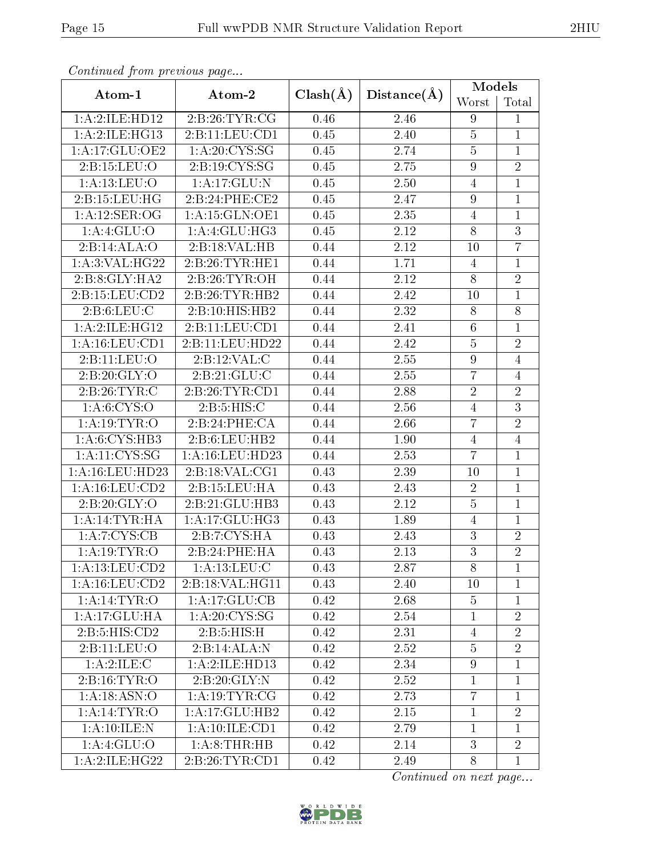| Continuu from providuo pugo |                                       |      |       |                  | Models         |  |
|-----------------------------|---------------------------------------|------|-------|------------------|----------------|--|
| Atom-1                      | $Clash(\AA)$<br>Distance(A)<br>Atom-2 |      | Worst | Total            |                |  |
| 1:A:2:ILE:HD12              | 2:B:26:TYR:CG                         | 0.46 | 2.46  | 9                | $\mathbf{1}$   |  |
| 1:A:2:ILE:HG13              | 2:B:11:LEV:CD1                        | 0.45 | 2.40  | $5\,$            | $\mathbf{1}$   |  |
| 1:A:17:GLU:OE2              | 1: A:20:CYS:SG                        | 0.45 | 2.74  | $\overline{5}$   | $\mathbf{1}$   |  |
| 2:B:15:LEU:O                | 2:B:19:CYS:SG                         | 0.45 | 2.75  | $\boldsymbol{9}$ | $\overline{2}$ |  |
| 1: A:13: LEU:O              | 1:A:17:GLU:N                          | 0.45 | 2.50  | $\overline{4}$   | $\mathbf{1}$   |  |
| 2:B:15:LEU:HG               | 2:B:24:PHE:CE2                        | 0.45 | 2.47  | $\boldsymbol{9}$ | $\mathbf{1}$   |  |
| 1:A:12:SER:OG               | 1:A:15:GLN:OE1                        | 0.45 | 2.35  | $\overline{4}$   | $\mathbf{1}$   |  |
| 1:A:4:GLU:O                 | 1:A:4:GLU:HG3                         | 0.45 | 2.12  | 8                | $\sqrt{3}$     |  |
| 2:B:14:ALA:O                | 2:B:18:VAL:HB                         | 0.44 | 2.12  | 10               | $\overline{7}$ |  |
| 1:A:3:VAL:HG22              | 2:B:26:TYR:HE1                        | 0.44 | 1.71  | 4                | $\mathbf{1}$   |  |
| 2:B:8:GLY:HA2               | 2:B:26:TYR:OH                         | 0.44 | 2.12  | 8                | $\overline{2}$ |  |
| 2: B: 15: LEU: CD2          | 2:B:26:TYR:HB2                        | 0.44 | 2.42  | 10               | $\mathbf{1}$   |  |
| 2: B:6: LEU: C              | 2:B:10:HIS:HB2                        | 0.44 | 2.32  | $8\,$            | 8              |  |
| 1:A:2:ILE:HG12              | 2:B:11:LEU:CD1                        | 0.44 | 2.41  | $\,6\,$          | $\mathbf{1}$   |  |
| 1:A:16:LEU:CD1              | 2:B:11:LEU:HD22                       | 0.44 | 2.42  | $\overline{5}$   | $\overline{2}$ |  |
| 2:B:11:LEU:O                | 2:B:12:VAL:CC                         | 0.44 | 2.55  | $\boldsymbol{9}$ | $\overline{4}$ |  |
| 2:B:20:GLY:O                | 2: B:21: GLU: C                       | 0.44 | 2.55  | $\overline{7}$   | $\overline{4}$ |  |
| 2:B:26:TYR:C                | 2:B:26:TYR:CD1                        | 0.44 | 2.88  | $\overline{2}$   | $\overline{2}$ |  |
| 1: A:6: CYS:O               | 2:B:5:HIS:C                           | 0.44 | 2.56  | $\overline{4}$   | $\overline{3}$ |  |
| 1: A:19:TYR:O               | 2:B:24:PHE:CA                         | 0.44 | 2.66  | $\overline{7}$   | $\overline{2}$ |  |
| 1: A:6: CYS:HB3             | 2: B:6: LEU: HB2                      | 0.44 | 1.90  | $\overline{4}$   | $\overline{4}$ |  |
| 1:A:11:CYS:SG               | 1:A:16:LEU:HD23                       | 0.44 | 2.53  | $\overline{7}$   | $\mathbf{1}$   |  |
| 1: A: 16: LEU: HD23         | 2:B:18:VAL:CG1                        | 0.43 | 2.39  | 10               | $\mathbf{1}$   |  |
| 1:A:16:LEU:CD2              | 2:B:15:LEU:HA                         | 0.43 | 2.43  | $\overline{2}$   | $\overline{1}$ |  |
| 2:B:20:GLY:O                | 2:B:21:GLU:HB3                        | 0.43 | 2.12  | $\overline{5}$   | $\overline{1}$ |  |
| 1:A:14:TYR:HA               | 1: A:17: GLU:HG3                      | 0.43 | 1.89  | $\overline{4}$   | $\mathbf{1}$   |  |
| 1:A:7:CYS:CB                | 2:B:7:CYS:HA                          | 0.43 | 2.43  | 3                | $\overline{2}$ |  |
| 1: A:19:TYR:O               | 2:B:24:PHE:HA                         | 0.43 | 2.13  | $\overline{3}$   | $\overline{2}$ |  |
| 1: A:13: LEU: CD2           | 1: A:13: LEU: C                       | 0.43 | 2.87  | 8                | $\mathbf{1}$   |  |
| 1: A: 16: LEU: CD2          | 2:B:18:VAL:HG11                       | 0.43 | 2.40  | 10               | $\mathbf{1}$   |  |
| 1: A:14:TYR:O               | 1:A:17:GLU:CB                         | 0.42 | 2.68  | $\overline{5}$   | $\mathbf{1}$   |  |
| $1:A:17:GLU$ : HA           | 1: A:20: CYS:SG                       | 0.42 | 2.54  | $\mathbf{1}$     | $\overline{2}$ |  |
| 2:B:5:HIS:CD2               | 2: B:5: HIS:H                         | 0.42 | 2.31  | $\overline{4}$   | $\overline{2}$ |  |
| 2:B:11:LEU:O                | 2:B:14:ALA:N                          | 0.42 | 2.52  | $\overline{5}$   | $\overline{2}$ |  |
| 1:A:2:ILE:C                 | 1:A:2:ILE:HD13                        | 0.42 | 2.34  | $\boldsymbol{9}$ | $\mathbf{1}$   |  |
| 2: B: 16: TYR: O            | 2:B:20:GLY:N                          | 0.42 | 2.52  | $\mathbf{1}$     | $\mathbf{1}$   |  |
| 1:A:18:ASN:O                | 1: A:19:TYR:CG                        | 0.42 | 2.73  | $\overline{7}$   | $\mathbf{1}$   |  |
| 1:A:14:TYR:O                | 1:A:17:GLU:HB2                        | 0.42 | 2.15  | $\mathbf{1}$     | $\overline{2}$ |  |
| 1: A: 10: ILE:N             | 1: A:10: ILE: CD1                     | 0.42 | 2.79  | $\mathbf{1}$     | $\mathbf{1}$   |  |
| 1: A:4: GLU:O               | 1: A:8:THR:HB                         | 0.42 | 2.14  | 3                | $\overline{2}$ |  |
| 1:A:2:ILE:HG22              | 2:B:26:TYR:CD1                        | 0.42 | 2.49  | 8                | $\mathbf{1}$   |  |

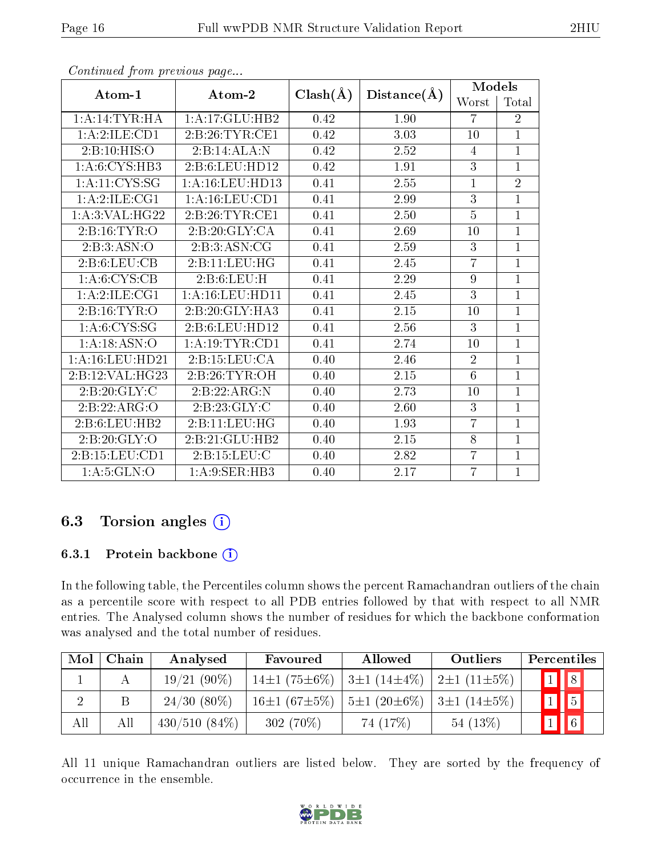| Atom-1               | Atom-2              | $Clash(\AA)$ | Distance(A) | Models         |                |
|----------------------|---------------------|--------------|-------------|----------------|----------------|
|                      |                     |              |             | Worst          | Total          |
| 1:A:14:TYR:HA        | 1: A:17: GLU:HB2    | 0.42         | 1.90        | $\overline{7}$ | $\overline{2}$ |
| 1:A:2:ILE:CD1        | 2:B:26:TYR:CE1      | 0.42         | 3.03        | 10             | $\overline{1}$ |
| 2:B:10:HIS:O         | 2:B:14:ALA:N        | 0.42         | 2.52        | 4              | $\overline{1}$ |
| 1: A:6: CYS:HB3      | 2:B:6:LEU:HDI2      | 0.42         | 1.91        | 3              | $\overline{1}$ |
| 1:A:11:CYS:SG        | 1: A: 16: LEU: HD13 | 0.41         | 2.55        | $\overline{1}$ | $\overline{2}$ |
| 1:A:2:ILE:CG1        | 1:A:16:LEU:CD1      | 0.41         | 2.99        | $\overline{3}$ | $\overline{1}$ |
| 1: A:3: VAL:HG22     | 2: B:26: TYR:CE1    | 0.41         | 2.50        | $\overline{5}$ | $\overline{1}$ |
| 2:B:16:TYR:O         | 2:B:20:GLY:CA       | 0.41         | 2.69        | 10             | $\overline{1}$ |
| 2:B:3:ASN:O          | 2:B:3:ASN:CG        | 0.41         | 2.59        | 3              | $\overline{1}$ |
| 2: B:6: LEU: CB      | 2:B:11:LEU:HG       | 0.41         | 2.45        | $\overline{7}$ | $\overline{1}$ |
| 1: A:6: CYS:CB       | 2: B:6: LEU:H       | 0.41         | 2.29        | $\overline{9}$ | $\overline{1}$ |
| 1:A:2:ILE:CG1        | 1: A: 16: LEU: HD11 | 0.41         | 2.45        | 3              | $\overline{1}$ |
| 2:B:16:TYR:O         | 2:B:20:GLY:HA3      | 0.41         | 2.15        | 10             | $\overline{1}$ |
| 1: A: 6: CYS: SG     | 2:B:6:LEU:HDI2      | 0.41         | 2.56        | 3              | $\overline{1}$ |
| 1:A:18:ASN:O         | 1:A:19:TYR:CD1      | 0.41         | 2.74        | 10             | 1              |
| $1: A: 16:$ LEU:HD21 | 2:B:15:LEU:CA       | 0.40         | 2.46        | $\overline{2}$ | $\overline{1}$ |
| 2:B:12:VAL:HG23      | 2:B:26:TYR:OH       | 0.40         | 2.15        | 6              | $\overline{1}$ |
| 2: B:20: GLY: C      | 2:B:22:ARG:N        | 0.40         | 2.73        | 10             | $\overline{1}$ |
| 2:B:22:ARG:O         | 2:B:23:GLY:C        | 0.40         | 2.60        | 3              | $\overline{1}$ |
| 2:B:6:LEU:HB2        | 2:B:11:LEU:HG       | 0.40         | 1.93        | $\overline{7}$ | $\overline{1}$ |
| 2:B:20:GLY:O         | 2:B:21:GLU:HB2      | 0.40         | 2.15        | 8              | $\mathbf{1}$   |
| 2:B:15:LEU:CD1       | 2:B:15:LEU:C        | 0.40         | 2.82        | $\overline{7}$ | $\overline{1}$ |
| 1: A: 5: GLN: O      | 1:A:9:SER:HB3       | 0.40         | 2.17        | 7              | $\mathbf{1}$   |

#### 6.3 Torsion angles  $(i)$

#### 6.3.1 Protein backbone  $(i)$

In the following table, the Percentiles column shows the percent Ramachandran outliers of the chain as a percentile score with respect to all PDB entries followed by that with respect to all NMR entries. The Analysed column shows the number of residues for which the backbone conformation was analysed and the total number of residues.

| Mol | Chain | Analysed        | Favoured                                 | <b>Allowed</b>                                  | Outliers   | Percentiles             |
|-----|-------|-----------------|------------------------------------------|-------------------------------------------------|------------|-------------------------|
|     |       | $19/21(90\%)$   | $14\pm1(75\pm6\%)$                       | $3\pm1$ (14 $\pm4\%$ )   $2\pm1$ (11 $\pm5\%$ ) |            | $\boxed{1}$ $\boxed{8}$ |
|     |       | $24/30(80\%)$   | 16±1 (67±5%)   5±1 (20±6%)   3±1 (14±5%) |                                                 |            | $1$   5                 |
| All | Аll   | $430/510(84\%)$ | $302(70\%)$                              | 74 (17%)                                        | $54(13\%)$ | $1 \mid 6 \mid$         |

All 11 unique Ramachandran outliers are listed below. They are sorted by the frequency of occurrence in the ensemble.

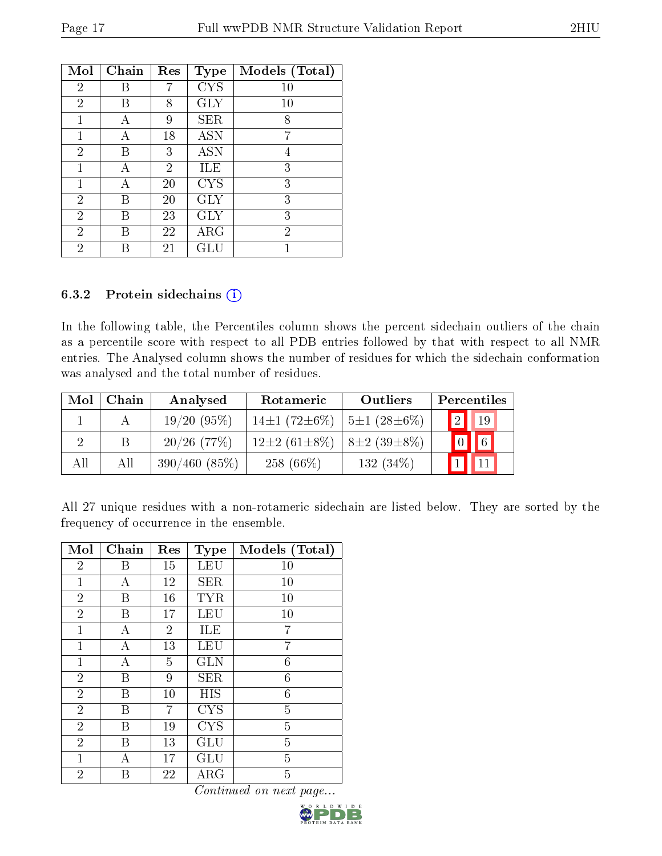| Mol            | Chain | Res | <b>Type</b> | Models (Total) |
|----------------|-------|-----|-------------|----------------|
| $\overline{2}$ | В     |     | <b>CYS</b>  | 10             |
| $\overline{2}$ | В     | 8   | <b>GLY</b>  | 10             |
| 1              | А     | 9   | SER         | 8              |
| 1              | А     | 18  | <b>ASN</b>  | 7              |
| $\overline{2}$ | R     | 3   | <b>ASN</b>  | 4              |
| 1              | А     | 2   | ILE         | 3              |
| 1              | А     | 20  | <b>CYS</b>  | 3              |
| $\overline{2}$ | В     | 20  | $\rm GLY$   | 3              |
| $\overline{2}$ | В     | 23  | <b>GLY</b>  | 3              |
| $\overline{2}$ | В     | 22  | $\rm{ARG}$  | $\overline{2}$ |
| $\overline{2}$ |       | 21  | GL          |                |

#### 6.3.2 Protein sidechains (i)

In the following table, the Percentiles column shows the percent sidechain outliers of the chain as a percentile score with respect to all PDB entries followed by that with respect to all NMR entries. The Analysed column shows the number of residues for which the sidechain conformation was analysed and the total number of residues.

| Mol | Chain | Analysed       | Rotameric                | Outliers          | Percentiles                |
|-----|-------|----------------|--------------------------|-------------------|----------------------------|
|     |       | 19/20(95%)     | 14 $\pm$ 1 (72 $\pm$ 6%) | $5\pm1(28\pm6\%)$ | $\Omega$<br>19             |
|     | B     | $20/26$ (77\%) | $12\pm2(61\pm8\%)$       | $8\pm2(39\pm8\%)$ | $\boxed{6}$<br>$\boxed{0}$ |
| All | Аll   | 390/460(85%)   | $258(66\%)$              | $132(34\%)$       |                            |

All 27 unique residues with a non-rotameric sidechain are listed below. They are sorted by the frequency of occurrence in the ensemble.

| Mol            | Chain | Res            | Type       | Models (Total) |
|----------------|-------|----------------|------------|----------------|
| $\overline{2}$ | В     | 15             | LEU        | 10             |
| $\mathbf{1}$   | А     | 12             | <b>SER</b> | 10             |
| $\overline{2}$ | В     | 16             | <b>TYR</b> | 10             |
| $\overline{2}$ | В     | 17             | LEU        | 10             |
| $\mathbf{1}$   | А     | $\overline{2}$ | ILE        | 7              |
| $\mathbf{1}$   | А     | 13             | LEU        | 7              |
| 1              | А     | 5              | <b>GLN</b> | 6              |
| $\overline{2}$ | Β     | 9              | <b>SER</b> | 6              |
| $\overline{2}$ | В     | 10             | HIS        | 6              |
| $\overline{2}$ | В     | 7              | <b>CYS</b> | $\overline{5}$ |
| $\overline{2}$ | В     | 19             | <b>CYS</b> | $\overline{5}$ |
| $\overline{2}$ | В     | 13             | GLU        | $\overline{5}$ |
| 1              | А     | 17             | GLU        | $\overline{5}$ |
| $\overline{2}$ | В     | 22             | $\rm{ARG}$ | $\overline{5}$ |

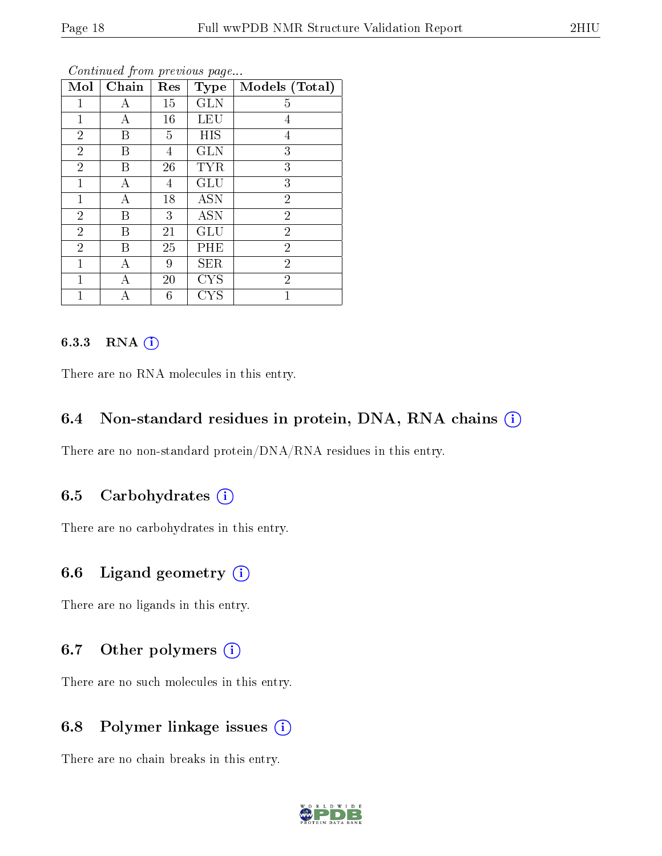| Mol            | Chain | Res            | Type       | Models (Total) |
|----------------|-------|----------------|------------|----------------|
| 1              | А     | 15             | <b>GLN</b> | 5              |
| $\mathbf{1}$   | A     | 16             | <b>LEU</b> | $\overline{4}$ |
| $\overline{2}$ | B     | 5              | HIS        | 4              |
| $\overline{2}$ | B     | 4              | <b>GLN</b> | 3              |
| $\overline{2}$ | B     | 26             | <b>TYR</b> | 3              |
| $\mathbf{1}$   | А     | $\overline{4}$ | GLU        | 3              |
| $\mathbf{1}$   | А     | 18             | <b>ASN</b> | $\overline{2}$ |
| $\overline{2}$ | B     | 3              | <b>ASN</b> | $\overline{2}$ |
| $\overline{2}$ | B     | 21             | GLU        | $\overline{2}$ |
| $\overline{2}$ | B     | 25             | PHE        | $\overline{2}$ |
| $\overline{1}$ | A     | 9              | <b>SER</b> | $\overline{2}$ |
| $\mathbf 1$    | А     | 20             | <b>CYS</b> | $\overline{2}$ |
|                |       | 6              | <b>CYS</b> | 1              |

#### 6.3.3 RNA [O](https://www.wwpdb.org/validation/2017/NMRValidationReportHelp#rna)i

There are no RNA molecules in this entry.

#### 6.4 Non-standard residues in protein, DNA, RNA chains (i)

There are no non-standard protein/DNA/RNA residues in this entry.

#### 6.5 Carbohydrates (i)

There are no carbohydrates in this entry.

#### 6.6 Ligand geometry (i)

There are no ligands in this entry.

#### 6.7 [O](https://www.wwpdb.org/validation/2017/NMRValidationReportHelp#nonstandard_residues_and_ligands)ther polymers (i)

There are no such molecules in this entry.

#### 6.8 Polymer linkage issues (i)

There are no chain breaks in this entry.